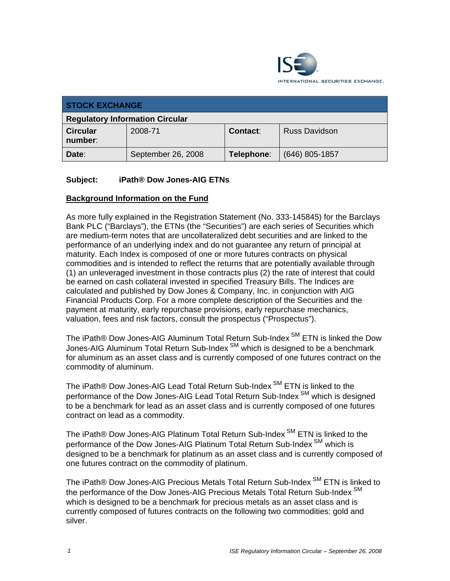

| <b>STOCK EXCHANGE</b>                  |                    |                 |                      |  |
|----------------------------------------|--------------------|-----------------|----------------------|--|
| <b>Regulatory Information Circular</b> |                    |                 |                      |  |
| <b>Circular</b><br>number:             | 2008-71            | <b>Contact:</b> | <b>Russ Davidson</b> |  |
| Date:                                  | September 26, 2008 | Telephone:      | $(646)$ 805-1857     |  |

# **Subject: iPath® Dow Jones-AIG ETNs**

## **Background Information on the Fund**

As more fully explained in the Registration Statement (No. 333-145845) for the Barclays Bank PLC ("Barclays"), the ETNs (the "Securities") are each series of Securities which are medium-term notes that are uncollateralized debt securities and are linked to the performance of an underlying index and do not guarantee any return of principal at maturity. Each Index is composed of one or more futures contracts on physical commodities and is intended to reflect the returns that are potentially available through (1) an unleveraged investment in those contracts plus (2) the rate of interest that could be earned on cash collateral invested in specified Treasury Bills. The Indices are calculated and published by Dow Jones & Company, Inc. in conjunction with AIG Financial Products Corp. For a more complete description of the Securities and the payment at maturity, early repurchase provisions, early repurchase mechanics, valuation, fees and risk factors, consult the prospectus ("Prospectus").

The iPath® Dow Jones-AIG Aluminum Total Return Sub-Index<sup>SM</sup> ETN is linked the Dow Jones-AIG Aluminum Total Return Sub-Index<sup>SM</sup> which is designed to be a benchmark for aluminum as an asset class and is currently composed of one futures contract on the commodity of aluminum.

The iPath® Dow Jones-AIG Lead Total Return Sub-Index<sup>SM</sup> ETN is linked to the performance of the Dow Jones-AIG Lead Total Return Sub-Index<sup>SM</sup> which is designed to be a benchmark for lead as an asset class and is currently composed of one futures contract on lead as a commodity.

The iPath® Dow Jones-AIG Platinum Total Return Sub-Index<sup>SM</sup> ETN is linked to the performance of the Dow Jones-AIG Platinum Total Return Sub-Index<sup>SM</sup> which is designed to be a benchmark for platinum as an asset class and is currently composed of one futures contract on the commodity of platinum.

The iPath® Dow Jones-AIG Precious Metals Total Return Sub-Index<sup>SM</sup> ETN is linked to the performance of the Dow Jones-AIG Precious Metals Total Return Sub-Index<sup>SM</sup> which is designed to be a benchmark for precious metals as an asset class and is currently composed of futures contracts on the following two commodities: gold and silver.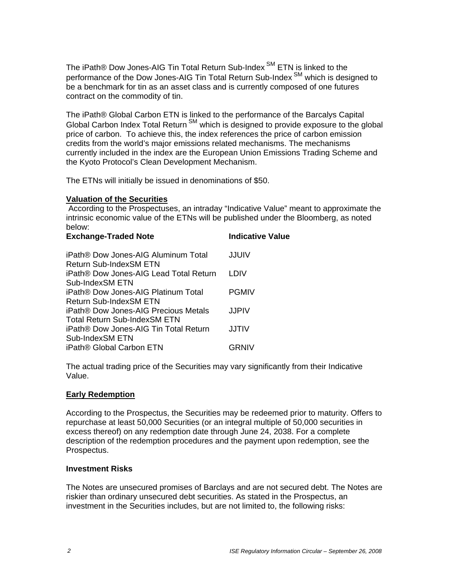The iPath® Dow Jones-AIG Tin Total Return Sub-Index<sup>SM</sup> ETN is linked to the performance of the Dow Jones-AIG Tin Total Return Sub-Index<sup>SM</sup> which is designed to be a benchmark for tin as an asset class and is currently composed of one futures contract on the commodity of tin.

The iPath® Global Carbon ETN is linked to the performance of the Barcalys Capital Global Carbon Index Total Return <sup>SM</sup> which is designed to provide exposure to the global price of carbon. To achieve this, the index references the price of carbon emission credits from the world's major emissions related mechanisms. The mechanisms currently included in the index are the European Union Emissions Trading Scheme and the Kyoto Protocol's Clean Development Mechanism.

The ETNs will initially be issued in denominations of \$50.

## **Valuation of the Securities**

 According to the Prospectuses, an intraday "Indicative Value" meant to approximate the intrinsic economic value of the ETNs will be published under the Bloomberg, as noted below:

| <b>Exchange-Traded Note</b>                                   | <b>Indicative Value</b> |
|---------------------------------------------------------------|-------------------------|
| iPath® Dow Jones-AIG Aluminum Total<br>Return Sub-IndexSM ETN | JJUIV                   |
| iPath® Dow Jones-AIG Lead Total Return                        | I DIV                   |
| Sub-IndexSM ETN                                               |                         |
| <b>iPath® Dow Jones-AIG Platinum Total</b>                    | <b>PGMIV</b>            |
| Return Sub-IndexSM ETN                                        |                         |
| iPath® Dow Jones-AIG Precious Metals                          | JJPIV                   |
| Total Return Sub-IndexSM ETN                                  |                         |
| iPath® Dow Jones-AIG Tin Total Return                         | JJTIV                   |
| Sub-IndexSM ETN                                               |                         |
| iPath <sup>®</sup> Global Carbon ETN                          | GRNIV                   |

The actual trading price of the Securities may vary significantly from their Indicative Value.

## **Early Redemption**

According to the Prospectus, the Securities may be redeemed prior to maturity. Offers to repurchase at least 50,000 Securities (or an integral multiple of 50,000 securities in excess thereof) on any redemption date through June 24, 2038. For a complete description of the redemption procedures and the payment upon redemption, see the Prospectus.

#### **Investment Risks**

The Notes are unsecured promises of Barclays and are not secured debt. The Notes are riskier than ordinary unsecured debt securities. As stated in the Prospectus, an investment in the Securities includes, but are not limited to, the following risks: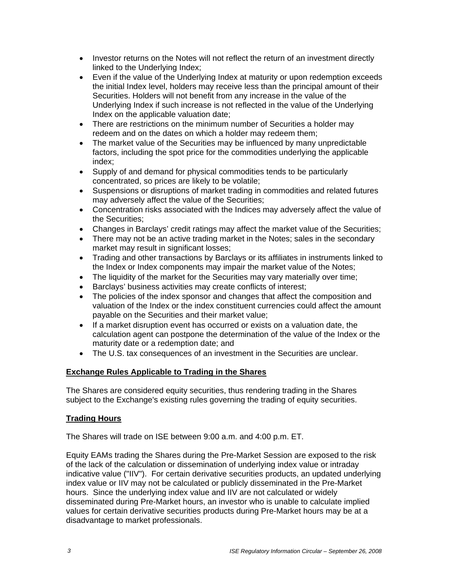- Investor returns on the Notes will not reflect the return of an investment directly linked to the Underlying Index;
- Even if the value of the Underlying Index at maturity or upon redemption exceeds the initial Index level, holders may receive less than the principal amount of their Securities. Holders will not benefit from any increase in the value of the Underlying Index if such increase is not reflected in the value of the Underlying Index on the applicable valuation date;
- There are restrictions on the minimum number of Securities a holder may redeem and on the dates on which a holder may redeem them;
- The market value of the Securities may be influenced by many unpredictable factors, including the spot price for the commodities underlying the applicable index;
- Supply of and demand for physical commodities tends to be particularly concentrated, so prices are likely to be volatile;
- Suspensions or disruptions of market trading in commodities and related futures may adversely affect the value of the Securities;
- Concentration risks associated with the Indices may adversely affect the value of the Securities;
- Changes in Barclays' credit ratings may affect the market value of the Securities;
- There may not be an active trading market in the Notes; sales in the secondary market may result in significant losses;
- Trading and other transactions by Barclays or its affiliates in instruments linked to the Index or Index components may impair the market value of the Notes;
- The liquidity of the market for the Securities may vary materially over time;
- Barclays' business activities may create conflicts of interest;
- The policies of the index sponsor and changes that affect the composition and valuation of the Index or the index constituent currencies could affect the amount payable on the Securities and their market value;
- If a market disruption event has occurred or exists on a valuation date, the calculation agent can postpone the determination of the value of the Index or the maturity date or a redemption date; and
- The U.S. tax consequences of an investment in the Securities are unclear.

# **Exchange Rules Applicable to Trading in the Shares**

The Shares are considered equity securities, thus rendering trading in the Shares subject to the Exchange's existing rules governing the trading of equity securities.

## **Trading Hours**

The Shares will trade on ISE between 9:00 a.m. and 4:00 p.m. ET.

Equity EAMs trading the Shares during the Pre-Market Session are exposed to the risk of the lack of the calculation or dissemination of underlying index value or intraday indicative value ("IIV"). For certain derivative securities products, an updated underlying index value or IIV may not be calculated or publicly disseminated in the Pre-Market hours. Since the underlying index value and IIV are not calculated or widely disseminated during Pre-Market hours, an investor who is unable to calculate implied values for certain derivative securities products during Pre-Market hours may be at a disadvantage to market professionals.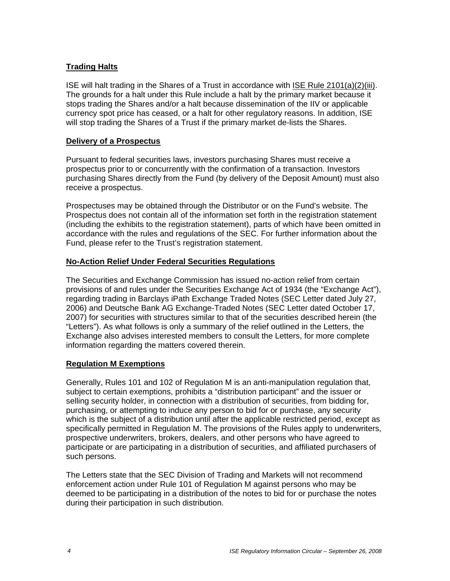# **Trading Halts**

ISE will halt trading in the Shares of a Trust in accordance with ISE Rule 2101(a)(2)(iii). The grounds for a halt under this Rule include a halt by the primary market because it stops trading the Shares and/or a halt because dissemination of the IIV or applicable currency spot price has ceased, or a halt for other regulatory reasons. In addition, ISE will stop trading the Shares of a Trust if the primary market de-lists the Shares.

## **Delivery of a Prospectus**

Pursuant to federal securities laws, investors purchasing Shares must receive a prospectus prior to or concurrently with the confirmation of a transaction. Investors purchasing Shares directly from the Fund (by delivery of the Deposit Amount) must also receive a prospectus.

Prospectuses may be obtained through the Distributor or on the Fund's website. The Prospectus does not contain all of the information set forth in the registration statement (including the exhibits to the registration statement), parts of which have been omitted in accordance with the rules and regulations of the SEC. For further information about the Fund, please refer to the Trust's registration statement.

# **No-Action Relief Under Federal Securities Regulations**

The Securities and Exchange Commission has issued no-action relief from certain provisions of and rules under the Securities Exchange Act of 1934 (the "Exchange Act"), regarding trading in Barclays iPath Exchange Traded Notes (SEC Letter dated July 27, 2006) and Deutsche Bank AG Exchange-Traded Notes (SEC Letter dated October 17, 2007) for securities with structures similar to that of the securities described herein (the "Letters"). As what follows is only a summary of the relief outlined in the Letters, the Exchange also advises interested members to consult the Letters, for more complete information regarding the matters covered therein.

## **Regulation M Exemptions**

Generally, Rules 101 and 102 of Regulation M is an anti-manipulation regulation that, subject to certain exemptions, prohibits a "distribution participant" and the issuer or selling security holder, in connection with a distribution of securities, from bidding for, purchasing, or attempting to induce any person to bid for or purchase, any security which is the subject of a distribution until after the applicable restricted period, except as specifically permitted in Regulation M. The provisions of the Rules apply to underwriters, prospective underwriters, brokers, dealers, and other persons who have agreed to participate or are participating in a distribution of securities, and affiliated purchasers of such persons.

The Letters state that the SEC Division of Trading and Markets will not recommend enforcement action under Rule 101 of Regulation M against persons who may be deemed to be participating in a distribution of the notes to bid for or purchase the notes during their participation in such distribution.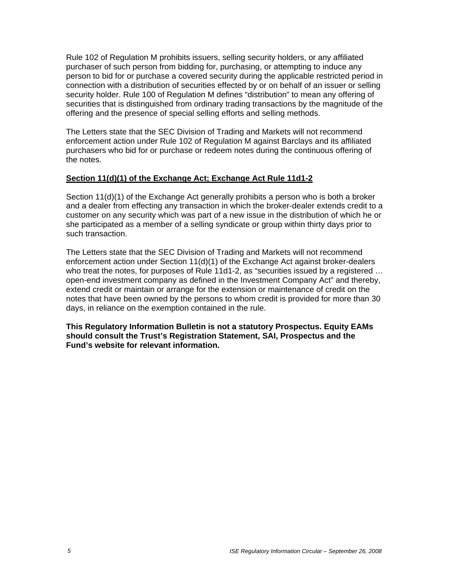Rule 102 of Regulation M prohibits issuers, selling security holders, or any affiliated purchaser of such person from bidding for, purchasing, or attempting to induce any person to bid for or purchase a covered security during the applicable restricted period in connection with a distribution of securities effected by or on behalf of an issuer or selling security holder. Rule 100 of Regulation M defines "distribution" to mean any offering of securities that is distinguished from ordinary trading transactions by the magnitude of the offering and the presence of special selling efforts and selling methods.

The Letters state that the SEC Division of Trading and Markets will not recommend enforcement action under Rule 102 of Regulation M against Barclays and its affiliated purchasers who bid for or purchase or redeem notes during the continuous offering of the notes.

# **Section 11(d)(1) of the Exchange Act; Exchange Act Rule 11d1-2**

Section 11(d)(1) of the Exchange Act generally prohibits a person who is both a broker and a dealer from effecting any transaction in which the broker-dealer extends credit to a customer on any security which was part of a new issue in the distribution of which he or she participated as a member of a selling syndicate or group within thirty days prior to such transaction.

The Letters state that the SEC Division of Trading and Markets will not recommend enforcement action under Section 11(d)(1) of the Exchange Act against broker-dealers who treat the notes, for purposes of Rule 11d1-2, as "securities issued by a registered … open-end investment company as defined in the Investment Company Act" and thereby, extend credit or maintain or arrange for the extension or maintenance of credit on the notes that have been owned by the persons to whom credit is provided for more than 30 days, in reliance on the exemption contained in the rule.

**This Regulatory Information Bulletin is not a statutory Prospectus. Equity EAMs should consult the Trust's Registration Statement, SAI, Prospectus and the Fund's website for relevant information.**